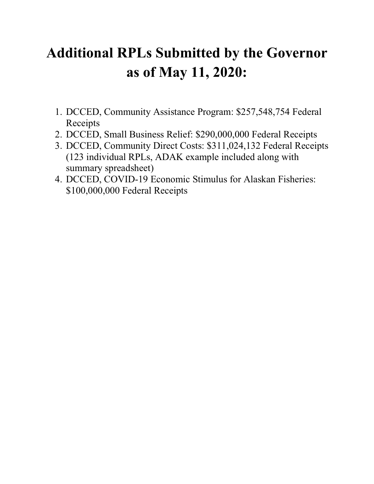# **Additional RPLs Submitted by the Governor as of May 11, 2020:**

- 1. DCCED, Community Assistance Program: \$257,548,754 Federal Receipts
- 2. DCCED, Small Business Relief: \$290,000,000 Federal Receipts
- 3. DCCED, Community Direct Costs: \$311,024,132 Federal Receipts (123 individual RPLs, ADAK example included along with summary spreadsheet)
- 4. DCCED, COVID-19 Economic Stimulus for Alaskan Fisheries: \$100,000,000 Federal Receipts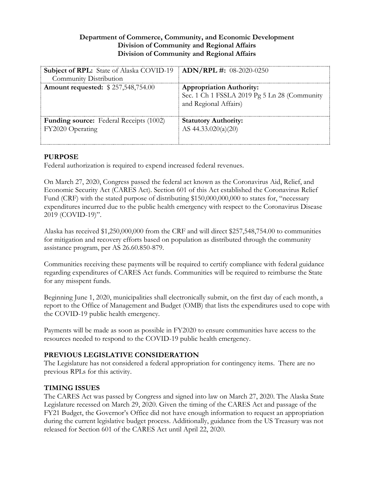## **Department of Commerce, Community, and Economic Development Division of Community and Regional Affairs Division of Community and Regional Affairs**

| <b>Subject of RPL:</b> State of Alaska COVID-19   <b>ADN/RPL #:</b> 08-2020-0250<br>Community Distribution |                                                                                                          |
|------------------------------------------------------------------------------------------------------------|----------------------------------------------------------------------------------------------------------|
| <b>Amount requested: \$257,548,754.00</b>                                                                  | <b>Appropriation Authority:</b><br>Sec. 1 Ch 1 FSSLA 2019 Pg 5 Ln 28 (Community<br>and Regional Affairs) |
| <b>Funding source:</b> Federal Receipts (1002)<br>FY2020 Operating                                         | <b>Statutory Authority:</b><br>AS $44.33.020(a)(20)$                                                     |

## **PURPOSE**

Federal authorization is required to expend increased federal revenues.

On March 27, 2020, Congress passed the federal act known as the Coronavirus Aid, Relief, and Economic Security Act (CARES Act). Section 601 of this Act established the Coronavirus Relief Fund (CRF) with the stated purpose of distributing \$150,000,000,000 to states for, "necessary expenditures incurred due to the public health emergency with respect to the Coronavirus Disease 2019 (COVID-19)".

Alaska has received \$1,250,000,000 from the CRF and will direct \$257,548,754.00 to communities for mitigation and recovery efforts based on population as distributed through the community assistance program, per AS 26.60.850-879.

Communities receiving these payments will be required to certify compliance with federal guidance regarding expenditures of CARES Act funds. Communities will be required to reimburse the State for any misspent funds.

Beginning June 1, 2020, municipalities shall electronically submit, on the first day of each month, a report to the Office of Management and Budget (OMB) that lists the expenditures used to cope with the COVID-19 public health emergency.

Payments will be made as soon as possible in FY2020 to ensure communities have access to the resources needed to respond to the COVID-19 public health emergency.

# **PREVIOUS LEGISLATIVE CONSIDERATION**

The Legislature has not considered a federal appropriation for contingency items. There are no previous RPLs for this activity.

# **TIMING ISSUES**

The CARES Act was passed by Congress and signed into law on March 27, 2020. The Alaska State Legislature recessed on March 29, 2020. Given the timing of the CARES Act and passage of the FY21 Budget, the Governor's Office did not have enough information to request an appropriation during the current legislative budget process. Additionally, guidance from the US Treasury was not released for Section 601 of the CARES Act until April 22, 2020.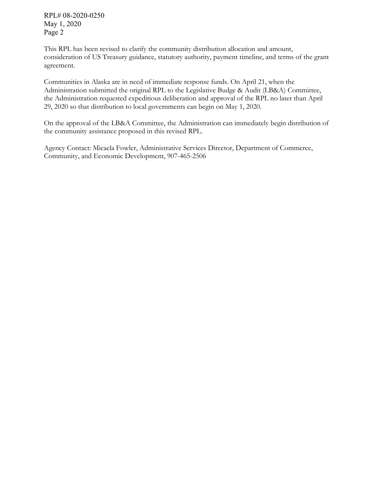RPL# 08-2020-0250 May 1, 2020 Page 2

This RPL has been revised to clarify the community distribution allocation and amount, consideration of US Treasury guidance, statutory authority, payment timeline, and terms of the grant agreement.

Communities in Alaska are in need of immediate response funds. On April 21, when the Administration submitted the original RPL to the Legislative Budge & Audit (LB&A) Committee, the Administration requested expeditious deliberation and approval of the RPL no later than April 29, 2020 so that distribution to local governments can begin on May 1, 2020.

On the approval of the LB&A Committee, the Administration can immediately begin distribution of the community assistance proposed in this revised RPL.

Agency Contact: Micaela Fowler, Administrative Services Director, Department of Commerce, Community, and Economic Development, 907-465-2506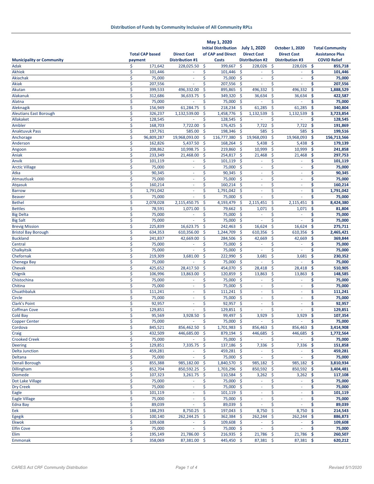|                                  |                        |                          |                     | May 1, 2020                 |          |                          |                                |     |                        |
|----------------------------------|------------------------|--------------------------|---------------------|-----------------------------|----------|--------------------------|--------------------------------|-----|------------------------|
|                                  |                        |                          |                     | <b>Initial Distribution</b> |          | <b>July 1, 2020</b>      | <b>October 1, 2020</b>         |     | <b>Total Community</b> |
|                                  | <b>Total CAP based</b> | <b>Direct Cost</b>       |                     | of CAP and Direct           |          | <b>Direct Cost</b>       | <b>Direct Cost</b>             |     | <b>Assistance Plus</b> |
| <b>Municipality or Community</b> | payment                | <b>Distribution #1</b>   |                     | <b>Costs</b>                |          | <b>Distribution #2</b>   | <b>Distribution #3</b>         |     | <b>COVID Relief</b>    |
| Adak                             | \$<br>171,642          | 228,025.50               | \$                  | 399,667                     | \$       | 228,026                  | \$<br>228,026                  | \$  | 855,718                |
| <b>Akhiok</b>                    | \$<br>101,446          |                          | \$                  | 101,446                     | \$       |                          | \$                             | \$  | 101,446                |
| Akiachak                         | \$<br>75,000           | $\sim$                   | \$                  | 75,000                      | \$       | $\sim$                   | \$<br>$\overline{\phantom{a}}$ | \$  | 75,000                 |
| <b>Akiak</b>                     | \$<br>207,556          | ×.                       | \$                  | 207,556                     | -\$      | $\sim$                   | \$<br>ä,                       | \$  | 207,556                |
| Akutan                           | \$<br>399,533          | 496,332.00               | \$                  | 895,865                     | \$       | 496,332                  | \$<br>496,332                  | \$  | 1,888,529              |
| Alakanuk                         | \$<br>312,686          | 36,633.75                | \$                  | 349,320                     | \$       | 36,634                   | \$<br>36,634                   | \$  | 422,587                |
| Alatna                           | \$<br>75,000           |                          | \$                  | 75,000                      | -\$      |                          | \$                             | \$  | 75,000                 |
| Aleknagik                        | \$<br>156,949          | 61,284.75                | $\mathsf{\hat{S}}$  | 218,234                     | <b>S</b> | 61,285                   | \$<br>61,285                   | \$  | 340,804                |
| <b>Aleutians East Borough</b>    | \$<br>326,237          | 1,132,539.00             | \$                  | 1,458,776                   | \$       | 1,132,539                | \$<br>1,132,539                | \$  | 3,723,854              |
| Allakaket                        | \$<br>128,545          |                          | \$                  | 128,545                     | \$       |                          | \$                             | \$  | 128,545                |
| Ambler                           | \$<br>168,703          | 7,722.00                 | \$                  | 176,425                     | \$       | 7,722                    | \$<br>7,722                    | \$  | 191,869                |
| <b>Anaktuvuk Pass</b>            | \$<br>197,761          | 585.00                   | <b>S</b>            | 198,346                     | $\zeta$  | 585                      | \$<br>585                      | \$  | 199,516                |
| Anchorage                        | \$<br>96,809,287       | 19,968,093.00            | \$                  | 116,777,380                 | \$       | 19,968,093               | \$<br>19,968,093               | \$  | 156,713,566            |
| Anderson                         | \$<br>162,826          | 5,437.50                 | \$                  | 168,264                     | \$       | 5,438                    | \$<br>5,438                    | \$  | 179,139                |
| Angoon                           | \$<br>208,862          | 10,998.75                | $\zeta$             | 219,860                     | -\$      | 10,999                   | $\zeta$<br>10,999              | \$  | 241,858                |
| Aniak                            | \$<br>233,349          | 21,468.00                | $\ddot{\mathsf{S}}$ | 254,817                     | \$       | 21,468                   | \$<br>21,468                   | \$  | 297,753                |
| Anvik                            | \$<br>101,119          | ×                        | \$                  | 101,119                     | $\zeta$  | $\sim$                   | \$<br>$\sim$                   | \$  | 101,119                |
| <b>Arctic Village</b>            | \$<br>75,000           | $\omega$                 | \$                  | 75,000                      | <b>S</b> | $\omega$                 | \$<br>$\blacksquare$           | \$  | 75,000                 |
| Atka                             | \$<br>90,345           | $\overline{\phantom{a}}$ | \$                  | 90,345                      | -\$      | ×,                       | \$<br>÷,                       | \$  | 90,345                 |
| Atmautluak                       | \$<br>75,000           | ٠                        | \$                  | 75,000                      | -\$      | $\sim$                   | \$<br>٠                        | \$  | 75,000                 |
| <b>Atgasuk</b>                   | \$<br>160,214          | ä,                       | \$                  | 160,214                     | <b>S</b> | $\omega$                 | \$<br>$\omega$                 | \$  | 160,214                |
| <b>Barrow</b>                    | \$<br>1,791,042        | $\overline{\phantom{a}}$ | \$                  | 1,791,042                   | \$       | $\sim$                   | \$<br>$\overline{\phantom{a}}$ | \$  | 1,791,042              |
| <b>Beaver</b>                    | \$<br>75,000           |                          | \$                  | 75,000                      | <b>S</b> |                          | Ś                              | \$  | 75,000                 |
| <b>Bethel</b>                    | \$<br>2,078,028        | 2,115,450.75             | \$                  | 4,193,479                   | $\zeta$  | 2,115,451                | \$<br>2,115,451                | \$  | 8,424,380              |
| <b>Bettles</b>                   | \$<br>78,591           | 1,071.00                 | \$                  | 79,662                      | <b>S</b> | 1,071                    | \$<br>1,071                    | \$  | 81,804                 |
| <b>Big Delta</b>                 | \$<br>75,000           |                          | \$                  | 75,000                      | <b>S</b> | ×.                       | \$<br>٠                        | \$  | 75,000                 |
| <b>Big Salt</b>                  | \$<br>75,000           |                          | \$                  | 75,000                      | $\zeta$  | ä,                       | \$                             | \$  | 75,000                 |
| <b>Brevig Mission</b>            | \$<br>225,839          | 16,623.75                | \$                  | 242,463                     | \$       | 16,624                   | \$<br>16,624                   | \$  | 275,711                |
| <b>Bristol Bay Borough</b>       | \$<br>634,353          | 610,356.00               | \$                  | 1,244,709                   | $\zeta$  | 610,356                  | \$<br>610,356                  | \$  | 2,465,421              |
| <b>Buckland</b>                  | \$<br>241,837          | 42,669.00                | \$                  | 284,506                     | \$       | 42,669                   | \$<br>42,669                   | \$  | 369,844                |
| Central                          | \$<br>75,000           |                          | \$                  | 75,000                      | $\zeta$  | ×,                       | \$<br>ä,                       | \$  | 75,000                 |
| Chalkyitsik                      | \$<br>75,000           |                          | \$                  | 75,000                      | \$       | ×,                       | \$<br>ä,                       | \$  | 75,000                 |
| Chefornak                        | \$<br>219,309          | 3,681.00                 | \$                  | 222,990                     | <b>S</b> | 3,681                    | \$<br>3,681                    | \$  | 230,352                |
| Chenega Bay                      | \$<br>75,000           |                          | \$                  | 75,000                      | $\zeta$  | ×.                       | \$                             | \$  | 75,000                 |
| Chevak                           | \$<br>425,652          | 28,417.50                | \$                  | 454,070                     | \$       | 28,418                   | \$<br>28,418                   | \$  | 510,905                |
| Chignik                          | \$<br>106,996          | 13,863.00                | \$                  | 120,859                     | $\zeta$  | 13,863                   | \$<br>13,863                   | \$  | 148,585                |
| Chistochina                      | \$<br>75,000           | $\overline{\phantom{a}}$ | \$                  | 75,000                      | \$       | $\sim$                   | \$<br>$\omega$                 | \$  | 75,000                 |
| Chitina                          | \$<br>75,000           | $\overline{\phantom{a}}$ | \$                  | 75,000                      | $\zeta$  | $\sim$                   | \$<br>$\overline{\phantom{a}}$ | \$  | 75,000                 |
| Chuathbaluk                      | \$<br>111,241          | ×.                       | \$                  | 111,241                     | $\zeta$  | ×.                       | \$<br>ä,                       | \$  | 111,241                |
| Circle                           | \$<br>75,000           | $\overline{\phantom{a}}$ | \$                  | 75,000                      | -\$      | ×,                       | \$<br>$\overline{\phantom{a}}$ | \$  | 75,000                 |
| <b>Clark's Point</b>             | \$<br>92,957           | ×.                       | \$                  | 92,957                      | <b>S</b> | ×.                       | \$<br>٠                        | \$  | 92,957                 |
| <b>Coffman Cove</b>              | \$<br>129,851          | ä,                       | \$                  | 129,851                     | \$       | ä,                       | \$<br>ä,                       | \$  | 129,851                |
| Cold Bay                         | \$<br>95,569           | 3,928.50                 | \$                  | 99,497\$                    |          | 3,929                    | \$<br>3,929                    | -\$ | 107,354                |
| <b>Copper Center</b>             | \$<br>75,000           |                          | \$                  | 75,000 \$                   |          |                          | \$                             | \$  | 75,000                 |
| Cordova                          | \$<br>845,521          | 856,462.50               | \$                  | 1,701,983 \$                |          | 856,463                  | \$<br>856,463                  | \$  | 3,414,908              |
| Craig                            | \$<br>432,509          | 446,685.00               | \$                  | 879,194 \$                  |          | 446,685                  | \$<br>446,685                  | \$  | 1,772,564              |
| <b>Crooked Creek</b>             | \$<br>75,000           |                          | \$                  | 75,000 \$                   |          | $\overline{\phantom{a}}$ | \$                             | \$  | 75,000                 |
| <b>Deering</b>                   | \$<br>129,851          | 7,335.75                 | \$                  | 137,186 \$                  |          | 7,336                    | \$<br>7,336                    | \$  | 151,858                |
| <b>Delta Junction</b>            | \$<br>459,281          | ٠                        | \$                  | 459,281 \$                  |          | ٠                        | \$<br>٠                        | \$  | 459,281                |
| Deltana                          | \$<br>75,000           | $\omega$                 | \$                  | 75,000 \$                   |          | $\omega$                 | \$<br>÷.                       | \$  | 75,000                 |
| Denali Borough                   | \$<br>855,388          | 985,182.00               | \$                  | 1,840,570 \$                |          | 985,182                  | \$<br>985,182                  | \$  | 3,810,934              |
| Dillingham                       | \$<br>852,704          | 850,592.25               | \$                  | 1,703,296                   | -\$      | 850,592                  | \$<br>850,592                  | \$  | 3,404,481              |
| Diomede                          | \$<br>107,323          | $3,261.75$ \$            |                     | 110,584 \$                  |          | $3,262$ \$               | 3,262                          | \$  | 117,108                |
| Dot Lake Village                 | \$<br>75,000           | $\blacksquare$           | \$                  | 75,000 \$                   |          | $\sim$                   | \$<br>$\overline{\phantom{a}}$ | \$  | 75,000                 |
| <b>Dry Creek</b>                 | \$<br>75,000           | $\sim$                   | \$                  | 75,000 \$                   |          | $\sim$                   | \$<br>÷                        | \$  | 75,000                 |
| Eagle                            | \$<br>101,119          | ÷                        | \$                  | 101,119 \$                  |          | $\sim$                   | \$<br>÷                        | \$  | 101,119                |
| <b>Eagle Village</b>             | \$<br>75,000           |                          | \$                  | 75,000 \$                   |          | ٠                        | \$<br>÷                        | \$  | 75,000                 |
| Edna Bay                         | \$<br>89,039           | $\sim$                   | \$                  | $89,039$ \$                 |          | $\omega$                 | \$<br>$\sim$                   | \$  | 89,039                 |
| Eek                              | \$<br>188,293          | 8,750.25                 | \$                  | 197,043 \$                  |          | 8,750                    | \$<br>8,750                    | \$  | 214,543                |
| <b>Egegik</b>                    | \$<br>100,140          | 262,244.25               | \$                  | 362,384 \$                  |          | 262,244                  | \$<br>262,244                  | \$  | 886,873                |
| Ekwok                            | \$<br>109,608          | $\sim$                   | \$                  | 109,608 \$                  |          | $\omega$                 | \$<br>÷                        | \$  | 109,608                |
| <b>Elfin Cove</b>                | \$<br>75,000           | $\sim$                   | \$                  | 75,000 \$                   |          | $\sim$                   | \$<br>٠                        | \$  | 75,000                 |
| Elim                             | \$<br>195,149          | 21,786.00                | $\ddot{\mathsf{S}}$ | 216,935 \$                  |          | 21,786                   | \$<br>$21,786$ \$              |     | 260,507                |
| Emmonak                          | \$<br>358,069          | 87,381.00 \$             |                     | 445,450 \$                  |          | 87,381 \$                | $87,381$ \$                    |     | 620,212                |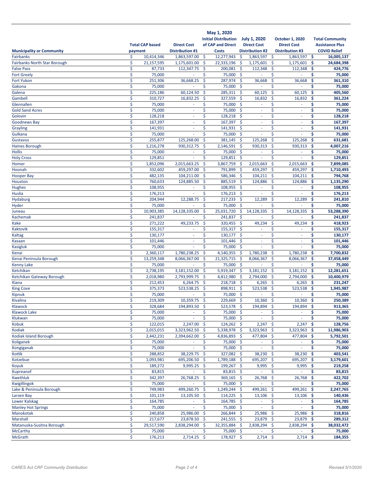|                                     |          | <b>Total CAP based</b> | <b>Direct Cost</b>        | May 1, 2020<br><b>Initial Distribution</b><br>of CAP and Direct |                             | <b>July 1, 2020</b><br><b>Direct Cost</b> | <b>October 1, 2020</b><br><b>Direct Cost</b> |             | <b>Total Community</b><br><b>Assistance Plus</b> |
|-------------------------------------|----------|------------------------|---------------------------|-----------------------------------------------------------------|-----------------------------|-------------------------------------------|----------------------------------------------|-------------|--------------------------------------------------|
| <b>Municipality or Community</b>    | payment  |                        | <b>Distribution #1</b>    | <b>Costs</b>                                                    |                             | <b>Distribution #2</b>                    | <b>Distribution #3</b>                       |             | <b>COVID Relief</b>                              |
| Fairbanks                           | \$       | 10,414,346             | 1,863,597.00              | \$<br>12,277,943                                                | \$                          | 1,863,597 \$                              | 1,863,597                                    | -\$         | 16,005,137                                       |
| <b>Fairbanks North Star Borough</b> | \$       | 21,157,595             | 1,175,601.00              | \$<br>22,333,196                                                | \$                          | 1,175,601                                 | \$<br>1,175,601                              | Ŝ.          | 24,684,398                                       |
| <b>False Pass</b>                   | \$       | 87,733                 | 112,347.75                | $\ddot{\mathsf{S}}$<br>200,081                                  | -\$                         | 112,348                                   | \$<br>112,348                                | \$.         | 424,776                                          |
| <b>Fort Greely</b>                  | \$       | 75,000                 |                           | 75,000 \$<br>\$                                                 |                             | ×.                                        | \$<br>٠                                      | \$          | 75,000                                           |
| <b>Fort Yukon</b>                   | \$       | 251,306                | 36,668.25                 | \$<br>287,974                                                   | \$                          | 36,668                                    | \$<br>36,668                                 | \$          | 361,310                                          |
| Gakona                              | \$       | 75,000                 |                           | Ś<br>75,000                                                     | \$                          |                                           | Ś                                            | \$          | 75,000                                           |
| Galena                              | \$       | 225,186                | 60,124.50                 | \$<br>285,311                                                   | \$                          | 60,125                                    | \$<br>60,125                                 | \$          | 405,560                                          |
| Gambell                             | \$       | 310,727                | 16,832.25                 | 327,559<br>\$                                                   | \$                          | 16,832<br>×,                              | \$<br>16,832                                 | \$          | 361,224                                          |
| Glennallen                          | \$       | 75,000                 | ä,<br>×.                  | \$<br>75,000                                                    | <b>S</b>                    | ×                                         | \$<br>٠<br>Ś<br>ä,                           | \$<br>\$    | 75,000                                           |
| <b>Gold Sand Acres</b><br>Golovin   | \$       | 75,000                 | ä,                        | \$<br>75,000<br>\$                                              | $\mathsf{\mathsf{S}}$       | $\sim$                                    | \$<br>ä,                                     |             | 75,000                                           |
|                                     | \$<br>\$ | 128,218                |                           | 128,218                                                         | \$                          |                                           | \$                                           | \$<br>\$    | 128,218                                          |
| <b>Goodnews Bay</b>                 | \$       | 167,397<br>141,931     | ٠<br>ä,                   | \$<br>167,397<br>\$<br>141,931                                  | \$<br>$\mathsf{\mathsf{S}}$ | ٠<br>ä,                                   | ٠<br>Ś<br>ä,                                 | \$          | 167,397                                          |
| Grayling<br>Gulkana                 | \$       | 75,000                 | ä,                        | \$<br>75,000                                                    | \$                          | ä,                                        | \$                                           | \$          | 141,931<br>75,000                                |
| Gustavus                            | \$       | 255,877                | 125,268.00                | \$<br>381,145                                                   | $\zeta$                     | 125,268                                   | \$<br>125,268                                | \$          | 631,681                                          |
| <b>Haines Borough</b>               | \$       | 1,216,278              | 930,312.75                | \$<br>2,146,591                                                 | \$                          | 930,313                                   | \$<br>930,313                                | \$          | 4,007,216                                        |
| <b>Hollis</b>                       | \$       | 75,000                 | ٠                         | 75,000<br>\$                                                    | -\$                         | ÷,                                        | \$<br>٠                                      | \$          | 75,000                                           |
| <b>Holy Cross</b>                   | \$       | 129,851                | ä,                        | \$<br>129,851                                                   | $\zeta$                     | ä,                                        | Ś                                            | \$          | 129,851                                          |
| Homer                               | \$       | 1,852,096              | 2,015,663.25              | \$<br>3,867,759                                                 | '\$                         | 2,015,663                                 | \$<br>2,015,663                              | \$          | 7,899,085                                        |
| Hoonah                              | \$       | 332,602                | 459,297.00                | $\zeta$<br>791,899                                              | \$                          | 459,297                                   | -\$<br>459,297                               | -\$         | 1,710,493                                        |
| <b>Hooper Bay</b>                   | \$       | 482,135                | 104,211.00                | 586,346<br>\$                                                   | -\$                         | 104,211                                   | -\$<br>104,211                               | -\$         | 794,768                                          |
| Houston                             | \$       | 760,633                | 124,885.50                | \$<br>885,519                                                   | - \$                        | 124,886                                   | \$<br>124,886                                | \$          | 1,135,290                                        |
| <b>Hughes</b>                       | \$       | 108,955                | ÷,                        | \$<br>108,955                                                   | $\zeta$                     | $\sim$                                    | \$                                           | \$          | 108,955                                          |
| Huslia                              | \$       | 176,213                | $\omega$                  | \$<br>176,213 \$                                                |                             | $\overline{\phantom{a}}$                  | \$                                           | \$          | 176,213                                          |
| Hydaburg                            | \$       | 204,944                | 12,288.75                 | \$<br>217,233                                                   | -\$                         | 12,289                                    | \$<br>12,289                                 | \$          | 241,810                                          |
| Hyder                               | \$       | 75,000                 |                           | \$<br>75,000                                                    | $\ddot{\mathsf{S}}$         |                                           | Ś                                            | \$          | 75,000                                           |
| Juneau                              | \$       | 10,903,385             | 14,128,335.00             | \$<br>25,031,720                                                | \$                          | 14,128,335                                | \$<br>14,128,335                             | \$          | 53,288,390                                       |
| Kachemak                            | \$       | 241,837                | ٠                         | \$<br>241,837                                                   | - \$                        | ٠                                         | \$                                           | \$          | 241,837                                          |
| <b>Kake</b>                         | \$       | 271,222                | 49,233.75                 | \$<br>320,455 \$                                                |                             | 49,234                                    | \$<br>49,234                                 | \$          | 418,923                                          |
| Kaktovik                            | \$       | 155,317                | ä,                        | \$<br>155,317                                                   | -\$                         | ×,                                        | \$<br>٠                                      | \$          | 155,317                                          |
| <b>Kaltag</b>                       | \$       | 130,177                | ٠                         | \$<br>130,177                                                   | \$                          | ×                                         | Ś<br>٠                                       | \$          | 130,177                                          |
| Kasaan                              | \$       | 101,446                | ä,                        | \$<br>101,446                                                   | - \$                        | $\sim$                                    | \$<br>٠                                      | \$          | 101,446                                          |
| <b>Kasigluk</b>                     | \$       | 75,000                 |                           | \$<br>75,000                                                    | - \$                        |                                           | \$                                           | \$          | 75,000                                           |
| Kenai                               | \$       | 2,360,117              | 1,780,238.25              | \$<br>4,140,355                                                 | <sup>\$</sup>               | 1,780,238                                 | \$<br>1,780,238                              | \$          | 7,700,832                                        |
| Kenai Peninsula Borough             | \$       | 13,259,348             | 8,066,367.00              | \$<br>21,325,715                                                | -\$                         | 8,066,367                                 | \$<br>8,066,367                              | \$          | 37,458,449                                       |
| <b>Kenny Lake</b>                   | \$       | 75,000                 |                           | Ś<br>75,000                                                     | -\$                         |                                           | Ś                                            | \$          | 75,000                                           |
| Ketchikan                           | \$       | 2,738,195              | 3,181,152.00              | \$<br>5,919,347                                                 | \$                          | 3,181,152                                 | \$<br>3,181,152                              | \$          | 12,281,651                                       |
| Ketchikan Gateway Borough           | \$       | 2,018,980              | 2,793,999.75              | 4,812,980<br>\$                                                 | $\zeta$                     | 2,794,000                                 | \$<br>2,794,000                              | '\$         | 10,400,979                                       |
| Kiana                               | \$       | 212,453                | 6,264.75                  | \$<br>218,718                                                   | -\$                         | 6,265                                     | -\$<br>6,265                                 | -\$         | 231,247                                          |
| <b>King Cove</b>                    | \$       | 375,373                | 523,538.25                | \$<br>898,911                                                   | -\$                         | 523,538                                   | 523,538<br>\$                                | -\$         | 1,945,987                                        |
| Kipnuk                              | \$       | 75,000                 |                           | \$<br>75,000                                                    | -\$                         | ٠                                         | \$                                           | \$          | 75,000                                           |
| Kivalina                            | Ś        | 219,309                | 10,359.75                 | Ś<br>229.669                                                    | Ŝ                           | 10,360                                    | Ś<br>10,360                                  | Ś.          | 250,389                                          |
| Klawock                             | \$       | 328,684                | 194,893.50 \$             | $523,578$ \$                                                    |                             | 194,894 \$                                | 194,894                                      | -\$         | 913,365                                          |
| <b>Klawock Lake</b>                 | \$       | 75,000                 |                           | 75,000 \$<br>\$                                                 |                             | $\omega$                                  | \$                                           | \$.         | 75,000                                           |
| Klukwan                             | \$       | 75,000                 | ÷                         | \$<br>75,000 \$                                                 |                             | $\bar{\phantom{a}}$                       | \$<br>٠                                      | \$          | 75,000                                           |
| Kobuk                               | \$       | 122,015                | 2,247.00                  | $\overline{12}4,262$ \$<br>-\$                                  |                             | $2,247$ \$                                | $2,247$ \$                                   |             | 128,756                                          |
| Kodiak                              | \$       | 2,015,015              | 3,323,962.50              | 5,338,978 \$<br>-\$                                             |                             | $3,323,963$ \$                            | 3,323,963                                    | -\$         | 11,986,903                                       |
| <b>Kodiak Island Borough</b>        | \$       | 2,442,231              | 2,394,662.00              | 4,836,893 \$<br>- \$                                            |                             | 477,804                                   | 477,804<br>-\$                               | -\$         | 5,792,501                                        |
| Koliganek                           | \$       | 75,000                 |                           | 75,000 \$<br>\$                                                 |                             | $\sim$                                    | \$                                           | \$          | 75,000                                           |
| Kongiganak                          | \$       | 75,000                 | ÷.                        | \$<br>75,000 \$                                                 |                             | $\omega$                                  | \$<br>$\mathcal{L}_{\mathcal{A}}$            | \$          | 75,000                                           |
| Kotlik                              | \$       | 288,852                | 38,229.75                 | 327,082 \$<br>-\$                                               |                             | 38,230                                    | -\$<br>38,230                                | \$          | 403,541                                          |
| Kotzebue                            | \$       | 1,093,981              | 695,206.50                | 1,789,188 \$<br>- \$                                            |                             | 695,207                                   | 695,207<br>-\$                               | -\$         | 3,179,601                                        |
| Koyuk                               | \$       | 189,272                | $9,995.25$ \$             | 199,267 \$                                                      |                             | $9,995$ \$                                | 9,995                                        | - \$        | 219,258                                          |
| Kupreanof                           | \$       | 83,815                 | $\sim$                    | 83,815 \$<br>\$                                                 |                             | $\sim$                                    | \$<br>$\sim$                                 | \$.         | 83,815                                           |
| Kwethluk                            | \$       | 342,397                | 26,768.25                 | $\ddot{\mathsf{S}}$<br>369,165 \$                               |                             | 26,768                                    | \$<br>26,768                                 | -\$         | 422,702                                          |
| Kwigillingok                        | \$       | 75,000                 | ä,                        | 75,000 \$<br>\$                                                 |                             | $\overline{\phantom{a}}$                  | \$<br>÷                                      | \$.         | 75,000                                           |
| Lake & Peninsula Borough            | \$       | 749,983                | 499,260.75                | 1,249,244 \$<br>-\$                                             |                             | 499,261                                   | 499,261 \$<br>-\$                            |             | 2,247,765                                        |
| Larsen Bay                          | \$       | 101,119                | 13,105.50                 | $114,225$ \$<br>-\$                                             |                             | 13,106                                    | $13,106$ \$<br>-\$                           |             | 140,436                                          |
| Lower Kalskag                       | \$       | 164,785                | $\sim$<br>$\sim$          | 164,785 \$<br>\$<br>\$                                          |                             | $\sim$<br>$\omega$                        | \$<br>$\sim$<br>Ś<br>ä,                      | \$<br>\$    | 164,785                                          |
| <b>Manley Hot Springs</b>           | \$<br>\$ | 75,000<br>240,858      |                           | 75,000 \$<br>266,844 \$                                         |                             |                                           |                                              |             | 75,000<br>318,816                                |
| Manokotak<br>Marshall               | \$       | 217,677                | 25,986.00<br>23,878.50 \$ | -\$<br>$241,555$ \$                                             |                             | 25,986<br>23,879 \$                       | -\$<br>25,986<br>23,879                      | -\$<br>- \$ | 289,312                                          |
| Matanuska-Susitna Borough           | \$       | 29,517,590             | 2,838,294.00              | 32,355,884 \$<br>-\$                                            |                             | 2,838,294 \$                              | 2,838,294 \$                                 |             | 38,032,472                                       |
| <b>McCarthy</b>                     | \$       | 75,000                 |                           | \$<br>75,000 \$                                                 |                             |                                           | \$                                           | \$          | 75,000                                           |
| <b>McGrath</b>                      | \$       | 176,213                | 2,714.25                  | 178,927 \$<br>-\$                                               |                             | $2,714$ \$                                | $2,714$ \$                                   |             | 184,355                                          |
|                                     |          |                        |                           |                                                                 |                             |                                           |                                              |             |                                                  |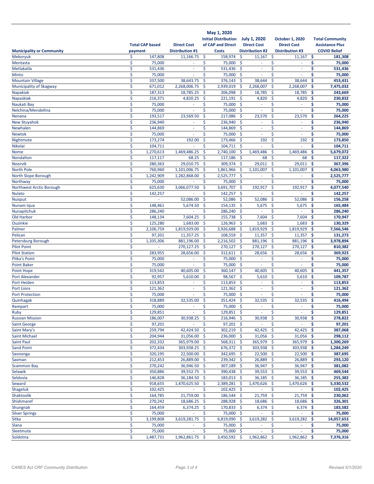|                                     |          | <b>Total CAP based</b> | <b>Direct Cost</b>       |               | May 1, 2020<br><b>Initial Distribution</b><br>of CAP and Direct |                     | <b>July 1, 2020</b><br><b>Direct Cost</b> |                           | <b>October 1, 2020</b><br><b>Direct Cost</b> |            | <b>Total Community</b><br><b>Assistance Plus</b> |
|-------------------------------------|----------|------------------------|--------------------------|---------------|-----------------------------------------------------------------|---------------------|-------------------------------------------|---------------------------|----------------------------------------------|------------|--------------------------------------------------|
| <b>Municipality or Community</b>    | payment  |                        | <b>Distribution #1</b>   |               | <b>Costs</b>                                                    |                     | <b>Distribution #2</b>                    |                           | <b>Distribution #3</b>                       |            | <b>COVID Relief</b>                              |
| Mekoryuk                            | \$       | 147,808                | 11,166.75                | \$            | 158,974                                                         | \$                  | 11,167                                    | \$                        | 11,167                                       | \$         | 181,308                                          |
| Mentasta                            | \$       | 75,000                 |                          | \$            | 75,000                                                          | $\ddot{\mathsf{S}}$ |                                           | \$                        |                                              | \$         | 75,000                                           |
| Metlakatla<br>Minto                 | \$<br>\$ | 531,436<br>75,000      | $\overline{\phantom{a}}$ | \$<br>\$      | 531,436 \$<br>75,000                                            | -\$                 | $\sim$<br>$\sim$                          | \$<br>\$                  | $\sim$                                       | \$<br>\$   | 531,436<br>75,000                                |
| <b>Mountain Village</b>             | \$       | 337,500                | 38,643.75                | \$            | 376,143                                                         | $\zeta$             | 38,644                                    | \$                        | 38,644                                       | \$         | 453,431                                          |
| Municipality of Skagway             | \$       | 671,012                | 2,268,006.75             | \$            | 2,939,019                                                       | \$                  | 2,268,007                                 | \$                        | 2,268,007                                    | \$         | 7,475,032                                        |
| <b>Napakiak</b>                     | \$       | 187,313                | 18,785.25                | \$            | 206,098                                                         | \$                  | 18,785                                    | \$                        | 18,785                                       | \$         | 243,669                                          |
| Napaskiak                           | \$       | 216,371                | 4,820.25                 | $\zeta$       | 221,191                                                         | -\$                 | 4,820                                     | \$                        | 4,820                                        | \$         | 230,832                                          |
| Naukati Bay                         | \$       | 75,000                 | ٠                        | \$            | 75,000                                                          | \$                  | ä,                                        | \$                        | ÷.                                           | \$         | 75,000                                           |
| Nelchina/Mendeltna                  | \$       | 75,000                 |                          | \$            | 75,000                                                          | $\zeta$             | ä,                                        | Ś                         |                                              | \$         | 75,000                                           |
| Nenana                              | \$       | 193,517                | 23,569.50                | \$            | 217,086                                                         | \$                  | 23,570                                    | \$                        | 23,570                                       | \$         | 264,225                                          |
| <b>New Stuyahok</b>                 | \$       | 236,940                | ٠                        | \$            | 236,940                                                         | -\$                 | ٠                                         | \$                        | ÷                                            | \$         | 236,940                                          |
| Newhalen                            | \$       | 144,869                | $\blacksquare$           | \$            | 144,869                                                         | <b>S</b>            | ÷.                                        | \$                        | $\sim$                                       | \$         | 144,869                                          |
| Newtok                              | \$       | 75,000                 | ä,                       | \$            | 75,000                                                          | -\$                 | ä,                                        | \$                        | ä,                                           | \$         | 75,000                                           |
| Nightmute                           | \$       | 173,274                | 192.00                   | \$            | 173,466                                                         | -\$                 | 192                                       | \$                        | 192                                          | \$         | 173,850                                          |
| Nikolai                             | \$       | 104,711                |                          | \$            | 104,711                                                         | -\$                 | ä,                                        | \$                        |                                              | Ś          | 104,711                                          |
| Nome                                | \$       | 1,270,613              | 1,469,486.25             | \$            | 2,740,100                                                       | -\$                 | 1,469,486                                 | \$                        | 1,469,486                                    | \$         | 5,679,072                                        |
| Nondalton                           | \$       | 117,117                | 68.25                    | \$            | 117,186                                                         | -\$                 | 68                                        | \$                        | 68                                           | \$         | 117,322                                          |
| Noorvik                             | \$       | 280,363                | 29,010.75                | \$            | 309,374                                                         | -\$                 | 29,011                                    | \$                        | 29,011                                       | \$         | 367,396                                          |
| <b>North Pole</b>                   | \$       | 760,960                | 1,101,006.75             | $\zeta$       | 1,861,966                                                       | -\$                 | 1,101,007                                 | \$                        | 1,101,007                                    | \$         | 4,063,980                                        |
| North Slope Borough                 | \$       | 1,242,909              | 1,282,868.00             | \$            | 2,525,777                                                       | -\$                 | $\omega$                                  | \$                        | $\sim$                                       | \$         | 2,525,777                                        |
| Northway                            | \$       | 75,000                 |                          | \$            | 75,000                                                          | -\$                 | ä,                                        | \$                        | ä,                                           | \$         | 75,000                                           |
| Northwest Arctic Borough            | \$       | 625,630                | 3,066,077.50             | \$            | 3,691,707                                                       | \$                  | 192,917                                   | \$                        | 192,917                                      | \$         | 4,077,540                                        |
| <b>Nulato</b>                       | \$       | 142,257<br>a,          |                          | \$            | 142,257 \$                                                      |                     | ÷                                         | \$                        | ä,                                           | \$         | 142,257                                          |
| <b>Nuigsut</b>                      | \$<br>\$ | 148,461                | 52,086.00<br>5,674.50    | $\zeta$<br>\$ | 52,086<br>154,135                                               | -\$<br>-\$          | 52,086<br>5,675                           | \$<br>\$                  | 52,086                                       | \$<br>\$   | 156,258<br>165,484                               |
| Nunam Iqua<br>Nunapitchuk           | \$       | 286,240                |                          | \$            | 286,240                                                         | -\$                 | ä,                                        | \$                        | 5,675                                        | \$         | 286,240                                          |
| Old Harbor                          | \$       | 148,134                | 7,604.25                 | $\zeta$       | 155,738                                                         | - \$                | 7,604                                     | \$                        | 7,604                                        | \$         | 170,947                                          |
| Ouzinkie                            | \$       | 125,280                | 1,683.00                 | -\$           | 126,963                                                         | -\$                 | 1,683                                     | $\ddot{\mathsf{s}}$       | 1,683                                        | -\$        | 130,329                                          |
| Palmer                              | \$       | 2,106,759              | 1,819,929.00             | -\$           | 3,926,688                                                       | -\$                 | 1,819,929                                 | <b>S</b>                  | 1,819,929                                    | -\$        | 7,566,546                                        |
| Pelican                             | \$       | 97,201                 | 11,357.25                | \$            | 108,559                                                         | \$                  | 11,357                                    | $\ddot{\mathsf{s}}$       | 11,357                                       | -\$        | 131,273                                          |
| Petersburg Borough                  | \$       | 1,335,306              | 881,196.00               | -\$           | 2,216,502                                                       | -\$                 | 881,196                                   | $\ddot{\mathsf{s}}$       | 881,196                                      | \$.        | 3,978,894                                        |
| <b>Pilot Point</b>                  | \$       | ٠                      | 270,127.25               | \$            | 270,127                                                         | -\$                 | 270,127                                   | $\ddot{\mathsf{s}}$       | 270,127                                      | -\$        | 810,382                                          |
| <b>Pilot Station</b>                | \$       | 283,955                | 28,656.00                | \$            | 312,611                                                         | -\$                 | 28,656                                    | \$                        | 28,656                                       | \$         | 369,923                                          |
| Pitka's Point                       | \$       | 75,000                 |                          | \$            | 75,000                                                          | -\$                 | ä,                                        | \$                        | ä,                                           | \$         | 75,000                                           |
| <b>Point Baker</b>                  | \$       | 75,000                 |                          | \$            | 75,000                                                          | -\$                 |                                           | Ś                         |                                              | \$         | 75,000                                           |
| Point Hope                          | \$       | 319,542                | 40,605.00                | \$            | 360,147                                                         | -\$                 | 40,605                                    | \$                        | 40,605                                       | \$         | 441,357                                          |
| <b>Port Alexander</b>               | \$       | 92,957                 | 5,610.00                 | \$            | 98,567                                                          | -\$                 | 5,610                                     | \$                        | 5,610                                        | \$         | 109,787                                          |
| Port Heiden                         | \$       | 113,853                |                          | \$            | 113,853                                                         | \$                  | ä,                                        | \$                        |                                              | \$         | 113,853                                          |
| <b>Port Lions</b>                   | \$       | 121,362                | ä,                       | \$            | 121,362                                                         | -\$                 | ä,                                        | \$                        |                                              | \$         | 121,362                                          |
| <b>Port Protection</b>              | \$       | 75,000                 |                          | \$            | 75,000 \$                                                       |                     | ٠                                         | \$                        |                                              | \$         | 75,000                                           |
| Quinhagak                           | Ś        | 318,889                | 32,535.00                | Ś             | 351,424                                                         | <b>S</b>            | 32,535                                    | Ś                         | 32,535                                       | Ś          | 416,494                                          |
| Rampart                             | \$       | 75,000                 | ÷                        | \$            | 75,000 \$                                                       |                     | $\sim$                                    | \$                        | ×                                            | \$         | 75,000                                           |
| Ruby                                | \$       | 129,851                |                          | \$            | 129,851 \$                                                      |                     |                                           | \$                        |                                              | \$         | 129,851                                          |
| <b>Russian Mission</b>              | \$       | 186,007                | 30,938.25                | -\$           | 216,946 \$                                                      |                     | 30,938                                    | -\$                       | 30,938                                       | -\$        | 278,822                                          |
| <b>Saint George</b><br>Saint Mary's | \$<br>\$ | 97,201<br>259,794      | ÷<br>42,424.50           | \$<br>-\$     | 97,201 \$<br>302,219 \$                                         |                     | $\sim$<br>42,425                          | \$<br>$\ddot{\mathsf{s}}$ | ÷<br>42,425                                  | \$.<br>-\$ | 97,201<br>387,068                                |
| Saint Michael                       | \$       | 204,944                | 31,056.00 \$             |               | 236,000 \$                                                      |                     | $31,056$ \$                               |                           | 31,056                                       | -\$        | 298,112                                          |
| <b>Saint Paul</b>                   | \$       | 202,332                | 365,979.00 \$            |               | 568,311 \$                                                      |                     | 365,979 \$                                |                           | 365,979                                      | - \$       | 1,300,269                                        |
| Sand Point                          | \$       | 372,434                | 303,938.25 \$            |               | 676,372 \$                                                      |                     | 303,938 \$                                |                           | 303,938 \$                                   |            | 1,284,249                                        |
| Savoonga                            | \$       | 320,195                | 22,500.00 \$             |               | 342,695 \$                                                      |                     | 22,500 \$                                 |                           | 22,500                                       | -\$        | 387,695                                          |
| Saxman                              | \$       | 212,453                | 26,889.00 \$             |               | 239,342 \$                                                      |                     | 26,889                                    | - \$                      | 26,889                                       | -\$        | 293,120                                          |
| <b>Scammon Bay</b>                  | \$       | 270,242                | 36,946.50 \$             |               | 307,189 \$                                                      |                     | 36,947 \$                                 |                           | 36,947 \$                                    |            | 381,082                                          |
| Selawik                             | \$       | 350,886                | $39,552.75$ \$           |               | 390,438 \$                                                      |                     | 39,553 \$                                 |                           | 39,553                                       | -\$        | 469,544                                          |
| Seldovia                            | \$       | 146,828                | 36,184.50 \$             |               | 183,013 \$                                                      |                     | 36,185 \$                                 |                           | $36,185$ \$                                  |            | 255,382                                          |
| Seward                              | \$       | 918,655                | 1,470,625.50             | -\$           | 2,389,281 \$                                                    |                     | 1,470,626 \$                              |                           | 1,470,626                                    | - \$       | 5,330,532                                        |
| Shageluk                            | \$       | 102,425                |                          | \$            | 102,425 \$                                                      |                     |                                           | \$                        |                                              | \$         | 102,425                                          |
| Shaktoolik                          | \$       | 164,785                | 21,759.00 \$             |               | 186,544 \$                                                      |                     | 21,759                                    | -\$                       | 21,759                                       | \$         | 230,062                                          |
| Shishmaref                          | \$       | 270,242                | 18,686.25                | -\$           | 288,928 \$                                                      |                     | 18,686                                    | -\$                       | 18,686                                       | -\$        | 326,301                                          |
| Shungnak                            | \$       | 164,459                | 6,374.25                 | \$            | 170,833 \$                                                      |                     | 6,374                                     | \$                        | 6,374                                        | -\$        | 183,582                                          |
| <b>Silver Springs</b>               | \$       | 75,000                 | ä,                       | \$            | 75,000 \$                                                       |                     | ÷                                         | \$                        | ÷.                                           | \$         | 75,000                                           |
| Sitka                               | \$       | 3,199,808              | 3,619,281.75             | $\zeta$       | 6,819,090 \$                                                    |                     | 3,619,282                                 | \$                        | 3,619,282                                    | -\$        | 14,057,653                                       |
| Slana                               | \$       | 75,000                 | $\omega$                 | \$            | 75,000 \$                                                       |                     | $\omega$                                  | \$                        | $\omega$                                     | \$         | 75,000                                           |
| Sleetmute                           | \$       | 75,000                 | $\blacksquare$           | \$            | 75,000 \$                                                       |                     | $\overline{\phantom{a}}$                  | \$                        | $\sim$                                       | \$         | 75,000                                           |
| Soldotna                            | \$       | 1,487,731              | 1,962,861.75             | \$            | 3,450,592 \$                                                    |                     | 1,962,862                                 | -\$                       | 1,962,862 \$                                 |            | 7,376,316                                        |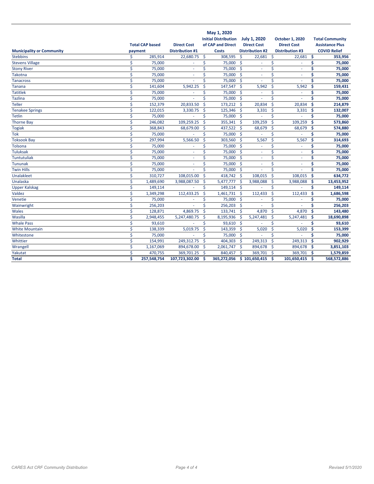|                                  |         | <b>Total CAP based</b> | <b>Direct Cost</b>     |                       | May 1, 2020<br><b>Initial Distribution</b><br>of CAP and Direct |                    | <b>July 1, 2020</b><br><b>Direct Cost</b> |                    | October 1, 2020<br><b>Direct Cost</b> |                     | <b>Total Community</b><br><b>Assistance Plus</b> |
|----------------------------------|---------|------------------------|------------------------|-----------------------|-----------------------------------------------------------------|--------------------|-------------------------------------------|--------------------|---------------------------------------|---------------------|--------------------------------------------------|
| <b>Municipality or Community</b> | payment |                        | <b>Distribution #1</b> |                       | <b>Costs</b>                                                    |                    | <b>Distribution #2</b>                    |                    | <b>Distribution #3</b>                |                     | <b>COVID Relief</b>                              |
| <b>Stebbins</b>                  | \$      | 285,914                | 22,680.75              | $\mathsf{\hat{S}}$    | 308,595                                                         | Ŝ.                 | 22,681                                    | $\mathsf{\hat{S}}$ | 22,681                                | \$.                 | 353,956                                          |
| <b>Stevens Village</b>           | \$      | 75,000                 | ä,                     | \$                    | 75,000                                                          | $\mathsf{S}$       | ÷.                                        | \$                 | ×.                                    | \$                  | 75,000                                           |
| <b>Stony River</b>               | \$      | 75,000                 | ٠                      | \$                    | 75,000 \$                                                       |                    | $\sim$                                    | \$                 | ٠                                     | \$                  | 75,000                                           |
| <b>Takotna</b>                   | \$      | 75,000                 |                        | \$                    | 75,000                                                          | -\$                |                                           | \$                 | ÷,                                    | \$                  | 75,000                                           |
| <b>Tanacross</b>                 | \$      | 75,000                 |                        | \$                    | 75,000                                                          | $\mathsf{\hat{S}}$ | ×                                         | \$                 |                                       | \$                  | 75,000                                           |
| <b>Tanana</b>                    | \$      | 141,604                | 5,942.25               | $\mathsf{\hat{S}}$    | 147,547                                                         | -Ś                 | 5,942                                     | \$                 | 5,942                                 | $\ddot{\mathsf{s}}$ | 159,431                                          |
| <b>Tatitlek</b>                  | \$      | 75,000                 |                        | \$                    | 75,000                                                          | -\$                |                                           | \$                 |                                       | \$                  | 75,000                                           |
| <b>Tazlina</b>                   | \$      | 75,000                 |                        | Ś.                    | 75,000                                                          | $\mathsf{\hat{S}}$ |                                           | Ś                  |                                       | \$                  | 75,000                                           |
| <b>Teller</b>                    | \$      | 152,379                | 20,833.50              | Ś                     | 173,212                                                         | -Ś                 | 20,834                                    | \$                 | 20,834                                | Ś                   | 214,879                                          |
| <b>Tenakee Springs</b>           | \$      | 122,015                | 3,330.75               | '\$                   | 125,346                                                         | -Ś                 | 3,331                                     | \$                 | 3,331                                 | \$                  | 132,007                                          |
| Tetlin                           | Ś       | 75,000                 |                        | \$                    | 75,000                                                          | -\$                | ×,                                        | Ś                  | ä,                                    | Ś                   | 75,000                                           |
| <b>Thorne Bay</b>                | \$      | 246,082                | 109,259.25             | Ś                     | 355,341                                                         | -\$                | 109,259                                   | Ś                  | 109,259                               | \$                  | 573,860                                          |
| <b>Togiak</b>                    | \$      | 368,843                | 68,679.00              | $\mathsf{\mathsf{S}}$ | 437,522                                                         | -Ś                 | 68,679                                    | \$                 | 68,679                                | \$                  | 574,880                                          |
| <b>Tok</b>                       | \$      | 75,000                 | ä,                     | \$                    | 75,000                                                          | -\$                | ×.                                        | \$                 |                                       | \$                  | 75,000                                           |
| <b>Toksook Bay</b>               | \$      | 297,994                | 5,566.50               | \$                    | 303,560                                                         | -\$                | 5,567                                     | \$                 | 5,567                                 | \$                  | 314,693                                          |
| Tolsona                          | \$      | 75,000                 | ٠                      | \$                    | 75,000                                                          | $\mathsf{S}$       | ×                                         | \$                 | ä,                                    | \$                  | 75,000                                           |
| Tuluksak                         | \$      | 75,000                 | ä,                     | \$                    | 75,000                                                          | $\mathsf{S}$       | ä,                                        | \$                 | ä,                                    | \$                  | 75,000                                           |
| <b>Tuntutuliak</b>               | \$      | 75,000                 | ×.                     | \$                    | 75,000                                                          | -\$                | ÷.                                        | \$                 | ä,                                    | \$                  | 75,000                                           |
| <b>Tununak</b>                   | \$      | 75,000                 | ×.                     | \$                    | 75,000                                                          | -Ś                 | ÷.                                        | \$                 | ×.                                    | \$                  | 75,000                                           |
| <b>Twin Hills</b>                | \$      | 75,000                 |                        | \$                    | 75,000 \$                                                       |                    |                                           | Ś                  |                                       | \$                  | 75,000                                           |
| Unalakleet                       | \$      | 310,727                | 108,015.00             | Ś                     | 418,742 \$                                                      |                    | 108,015                                   | $\mathsf{\hat{S}}$ | 108,015                               | \$                  | 634,772                                          |
| Unalaska                         | \$      | 1,489,690              | 3,988,087.50           | \$                    | 5,477,777                                                       | -Ś                 | 3,988,088                                 | \$                 | 3,988,088                             | \$                  | 13,453,952                                       |
| <b>Upper Kalskag</b>             | \$      | 149,114                |                        | \$                    | 149,114                                                         | -\$                |                                           | \$                 |                                       | \$                  | 149,114                                          |
| Valdez                           | \$      | 1,349,298              | 112,433.25             | $\mathsf{\hat{S}}$    | 1,461,731                                                       | -\$                | 112,433                                   | \$                 | 112,433                               | $\ddot{\mathsf{s}}$ | 1,686,598                                        |
| Venetie                          | \$      | 75,000                 |                        | \$                    | 75,000                                                          | $\mathsf{S}$       |                                           | \$                 |                                       | \$                  | 75,000                                           |
| Wainwright                       | \$      | 256,203                |                        | Ś                     | 256,203                                                         | -Ś                 |                                           | Ś                  |                                       | Ś                   | 256,203                                          |
| Wales                            | \$      | 128,871                | 4,869.75               | \$                    | 133,741                                                         | -\$                | 4,870                                     | \$                 | 4,870                                 | \$                  | 143,480                                          |
| Wasilla                          | \$      | 2,948,455              | 5,247,480.75           | '\$                   | 8,195,936                                                       | -\$                | 5,247,481                                 | \$                 | 5,247,481                             | Ŝ.                  | 18,690,898                                       |
| <b>Whale Pass</b>                | \$      | 93,610                 |                        | \$                    | 93,610 \$                                                       |                    |                                           | \$                 |                                       | \$                  | 93,610                                           |
| <b>White Mountain</b>            | Ś       | 138,339                | 5,019.75               | Ś                     | 143,359                                                         | -Ś                 | 5,020                                     | $\zeta$            | 5,020                                 | \$                  | 153,399                                          |
| Whitestone                       | \$      | 75,000                 |                        | \$                    | 75,000                                                          | -\$                | ×.                                        | \$                 |                                       | \$                  | 75,000                                           |
| Whittier                         | \$      | 154,991                | 249,312.75             | $\mathsf{\hat{S}}$    | 404,303                                                         | -\$                | 249,313                                   | \$                 | 249,313                               | \$                  | 902,929                                          |
| Wrangell                         | \$      | 1,167,069              | 894,678.00             | Ŝ.                    | 2,061,747                                                       | -Ś                 | 894,678                                   | Ŝ.                 | 894,678                               | Ŝ.                  | 3,851,103                                        |
| Yakutat                          | \$      | 470,755                | 369,701.25             | Ŝ.                    | 840,457                                                         | <b>S</b>           | 369,701                                   | Ŝ.                 | 369,701                               | Ŝ.                  | 1,579,859                                        |
| <b>Total</b>                     | Ś       | 257,548,754            | 107,723,302.00         | Ś                     | 365,272,056                                                     |                    | \$101,650,415                             | Ŝ.                 | 101,650,415                           | Ŝ.                  | 568,572,886                                      |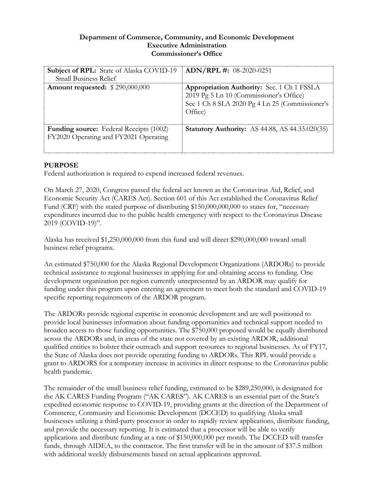## **Department of Commerce, Community, and Economic Development Executive Administration Commissioner's Office**

| <b>Subject of RPL:</b> State of Alaska COVID-19<br><b>Small Business Relief</b>         | $ADN/RPL$ #: 08-2020-0251                                                                                                                                 |
|-----------------------------------------------------------------------------------------|-----------------------------------------------------------------------------------------------------------------------------------------------------------|
| <b>Amount requested: \$290,000,000</b>                                                  | <b>Appropriation Authority:</b> Sec. 1 Ch 1 FSSLA<br>2019 Pg 5 Ln 10 (Commissioner's Office)<br>Sec 1 Ch 8 SLA 2020 Pg 4 Ln 25 (Commissioner's<br>Office) |
| <b>Funding source:</b> Federal Receipts (1002)<br>FY2020 Operating and FY2021 Operating | <b>Statutory Authority:</b> AS 44.88, AS 44.33.020(35)                                                                                                    |

# **PURPOSE**

Federal authorization is required to expend increased federal revenues.

On March 27, 2020, Congress passed the federal act known as the Coronavirus Aid, Relief, and Economic Security Act (CARES Act). Section 601 of this Act established the Coronavirus Relief Fund (CRF) with the stated purpose of distributing \$150,000,000,000 to states for, "necessary expenditures incurred due to the public health emergency with respect to the Coronavirus Disease 2019 (COVID-19)".

Alaska has received \$1,250,000,000 from this fund and will direct \$290,000,000 toward small business relief programs.

An estimated \$750,000 for the Alaska Regional Development Organizations (ARDORs) to provide technical assistance to regional businesses in applying for and obtaining access to funding. One development organization per region currently unrepresented by an ARDOR may qualify for funding under this program upon entering an agreement to meet both the standard and COVID-19 specific reporting requirements of the ARDOR program.

The ARDORs provide regional expertise in economic development and are well positioned to provide local businesses information about funding opportunities and technical support needed to broaden access to those funding opportunities. The \$750,000 proposed would be equally distributed across the ARDORs and, in areas of the state not covered by an existing ARDOR, additional qualified entities to bolster their outreach and support resources to regional businesses. As of FY17, the State of Alaska does not provide operating funding to ARDORs. This RPL would provide a grant to ARDORS for a temporary increase in activities in direct response to the Coronavirus public health pandemic.

The remainder of the small business relief funding, estimated to be \$289,250,000, is designated for the AK CARES Funding Program ("AK CARES"). AK CARES is an essential part of the State's expedited economic response to COVID-19, providing grants at the direction of the Department of Commerce, Community and Economic Development (DCCED) to qualifying Alaska small businesses utilizing a third-party processor in order to rapidly review applications, distribute funding, and provide the necessary reporting. It is estimated that a processor will be able to verify applications and distribute funding at a rate of \$150,000,000 per month. The DCCED will transfer funds, through AIDEA, to the contractor. The first transfer will be in the amount of \$37.5 million with additional weekly disbursements based on actual applications approved.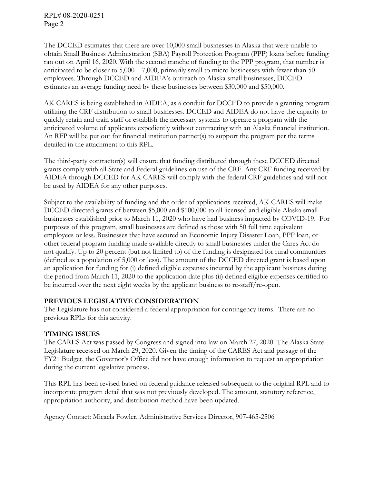RPL# 08-2020-0251 Page 2

The DCCED estimates that there are over 10,000 small businesses in Alaska that were unable to obtain Small Business Administration (SBA) Payroll Protection Program (PPP) loans before funding ran out on April 16, 2020. With the second tranche of funding to the PPP program, that number is anticipated to be closer to 5,000 – 7,000, primarily small to micro businesses with fewer than 50 employees. Through DCCED and AIDEA's outreach to Alaska small businesses, DCCED estimates an average funding need by these businesses between \$30,000 and \$50,000.

AK CARES is being established in AIDEA, as a conduit for DCCED to provide a granting program utilizing the CRF distribution to small businesses. DCCED and AIDEA do not have the capacity to quickly retain and train staff or establish the necessary systems to operate a program with the anticipated volume of applicants expediently without contracting with an Alaska financial institution. An RFP will be put out for financial institution partner(s) to support the program per the terms detailed in the attachment to this RPL.

The third-party contractor(s) will ensure that funding distributed through these DCCED directed grants comply with all State and Federal guidelines on use of the CRF. Any CRF funding received by AIDEA through DCCED for AK CARES will comply with the federal CRF guidelines and will not be used by AIDEA for any other purposes.

Subject to the availability of funding and the order of applications received, AK CARES will make DCCED directed grants of between \$5,000 and \$100,000 to all licensed and eligible Alaska small businesses established prior to March 11, 2020 who have had business impacted by COVID-19. For purposes of this program, small businesses are defined as those with 50 full time equivalent employees or less. Businesses that have secured an Economic Injury Disaster Loan, PPP loan, or other federal program funding made available directly to small businesses under the Cares Act do not qualify. Up to 20 percent (but not limited to) of the funding is designated for rural communities (defined as a population of 5,000 or less). The amount of the DCCED directed grant is based upon an application for funding for (i) defined eligible expenses incurred by the applicant business during the period from March 11, 2020 to the application date plus (ii) defined eligible expenses certified to be incurred over the next eight weeks by the applicant business to re-staff/re-open.

# **PREVIOUS LEGISLATIVE CONSIDERATION**

The Legislature has not considered a federal appropriation for contingency items. There are no previous RPLs for this activity.

# **TIMING ISSUES**

The CARES Act was passed by Congress and signed into law on March 27, 2020. The Alaska State Legislature recessed on March 29, 2020. Given the timing of the CARES Act and passage of the FY21 Budget, the Governor's Office did not have enough information to request an appropriation during the current legislative process.

This RPL has been revised based on federal guidance released subsequent to the original RPL and to incorporate program detail that was not previously developed. The amount, statutory reference, appropriation authority, and distribution method have been updated.

Agency Contact: Micaela Fowler, Administrative Services Director, 907-465-2506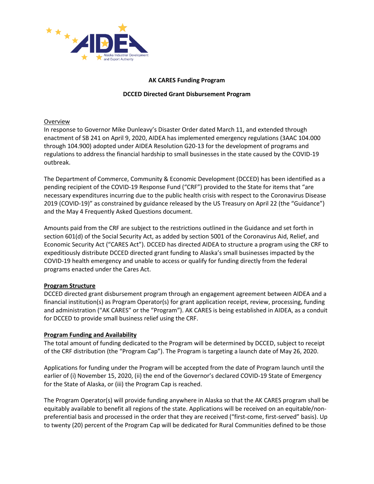

## **AK CARES Funding Program**

#### **DCCED Directed Grant Disbursement Program**

#### Overview

In response to Governor Mike Dunleavy's Disaster Order dated March 11, and extended through enactment of SB 241 on April 9, 2020, AIDEA has implemented emergency regulations (3AAC 104.000 through 104.900) adopted under AIDEA Resolution G20-13 for the development of programs and regulations to address the financial hardship to small businesses in the state caused by the COVID-19 outbreak.

The Department of Commerce, Community & Economic Development (DCCED) has been identified as a pending recipient of the COVID-19 Response Fund ("CRF") provided to the State for items that "are necessary expenditures incurring due to the public health crisis with respect to the Coronavirus Disease 2019 (COVID-19)" as constrained by guidance released by the US Treasury on April 22 (the "Guidance") and the May 4 Frequently Asked Questions document.

Amounts paid from the CRF are subject to the restrictions outlined in the Guidance and set forth in section 601(d) of the Social Security Act, as added by section 5001 of the Coronavirus Aid, Relief, and Economic Security Act ("CARES Act"). DCCED has directed AIDEA to structure a program using the CRF to expeditiously distribute DCCED directed grant funding to Alaska's small businesses impacted by the COVID-19 health emergency and unable to access or qualify for funding directly from the federal programs enacted under the Cares Act.

## **Program Structure**

DCCED directed grant disbursement program through an engagement agreement between AIDEA and a financial institution(s) as Program Operator(s) for grant application receipt, review, processing, funding and administration ("AK CARES" or the "Program"). AK CARES is being established in AIDEA, as a conduit for DCCED to provide small business relief using the CRF.

## **Program Funding and Availability**

The total amount of funding dedicated to the Program will be determined by DCCED, subject to receipt of the CRF distribution (the "Program Cap"). The Program is targeting a launch date of May 26, 2020.

Applications for funding under the Program will be accepted from the date of Program launch until the earlier of (i) November 15, 2020, (ii) the end of the Governor's declared COVID-19 State of Emergency for the State of Alaska, or (iii) the Program Cap is reached.

The Program Operator(s) will provide funding anywhere in Alaska so that the AK CARES program shall be equitably available to benefit all regions of the state. Applications will be received on an equitable/nonpreferential basis and processed in the order that they are received ("first-come, first-served" basis). Up to twenty (20) percent of the Program Cap will be dedicated for Rural Communities defined to be those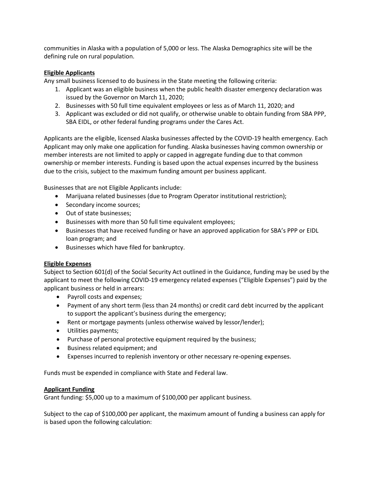communities in Alaska with a population of 5,000 or less. The Alaska Demographics site will be the defining rule on rural population.

## **Eligible Applicants**

Any small business licensed to do business in the State meeting the following criteria:

- 1. Applicant was an eligible business when the public health disaster emergency declaration was issued by the Governor on March 11, 2020;
- 2. Businesses with 50 full time equivalent employees or less as of March 11, 2020; and
- 3. Applicant was excluded or did not qualify, or otherwise unable to obtain funding from SBA PPP, SBA EIDL, or other federal funding programs under the Cares Act.

Applicants are the eligible, licensed Alaska businesses affected by the COVID-19 health emergency. Each Applicant may only make one application for funding. Alaska businesses having common ownership or member interests are not limited to apply or capped in aggregate funding due to that common ownership or member interests. Funding is based upon the actual expenses incurred by the business due to the crisis, subject to the maximum funding amount per business applicant.

Businesses that are not Eligible Applicants include:

- Marijuana related businesses (due to Program Operator institutional restriction);
- Secondary income sources;
- Out of state businesses;
- Businesses with more than 50 full time equivalent employees;
- Businesses that have received funding or have an approved application for SBA's PPP or EIDL loan program; and
- Businesses which have filed for bankruptcy.

## **Eligible Expenses**

Subject to Section 601(d) of the Social Security Act outlined in the Guidance, funding may be used by the applicant to meet the following COVID-19 emergency related expenses ("Eligible Expenses") paid by the applicant business or held in arrears:

- Payroll costs and expenses;
- Payment of any short term (less than 24 months) or credit card debt incurred by the applicant to support the applicant's business during the emergency;
- Rent or mortgage payments (unless otherwise waived by lessor/lender);
- Utilities payments;
- Purchase of personal protective equipment required by the business;
- Business related equipment; and
- Expenses incurred to replenish inventory or other necessary re-opening expenses.

Funds must be expended in compliance with State and Federal law.

#### **Applicant Funding**

Grant funding: \$5,000 up to a maximum of \$100,000 per applicant business.

Subject to the cap of \$100,000 per applicant, the maximum amount of funding a business can apply for is based upon the following calculation: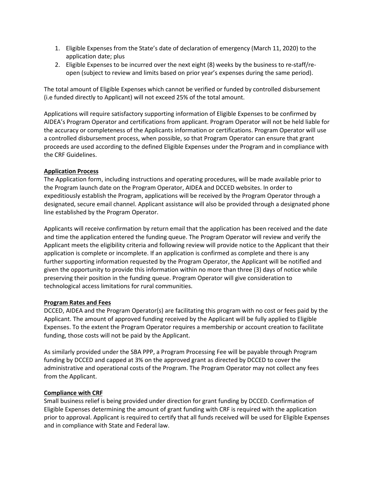- 1. Eligible Expenses from the State's date of declaration of emergency (March 11, 2020) to the application date; plus
- 2. Eligible Expenses to be incurred over the next eight (8) weeks by the business to re-staff/reopen (subject to review and limits based on prior year's expenses during the same period).

The total amount of Eligible Expenses which cannot be verified or funded by controlled disbursement (i.e funded directly to Applicant) will not exceed 25% of the total amount.

Applications will require satisfactory supporting information of Eligible Expenses to be confirmed by AIDEA's Program Operator and certifications from applicant. Program Operator will not be held liable for the accuracy or completeness of the Applicants information or certifications. Program Operator will use a controlled disbursement process, when possible, so that Program Operator can ensure that grant proceeds are used according to the defined Eligible Expenses under the Program and in compliance with the CRF Guidelines.

## **Application Process**

The Application form, including instructions and operating procedures, will be made available prior to the Program launch date on the Program Operator, AIDEA and DCCED websites. In order to expeditiously establish the Program, applications will be received by the Program Operator through a designated, secure email channel. Applicant assistance will also be provided through a designated phone line established by the Program Operator.

Applicants will receive confirmation by return email that the application has been received and the date and time the application entered the funding queue. The Program Operator will review and verify the Applicant meets the eligibility criteria and following review will provide notice to the Applicant that their application is complete or incomplete. If an application is confirmed as complete and there is any further supporting information requested by the Program Operator, the Applicant will be notified and given the opportunity to provide this information within no more than three (3) days of notice while preserving their position in the funding queue. Program Operator will give consideration to technological access limitations for rural communities.

## **Program Rates and Fees**

DCCED, AIDEA and the Program Operator(s) are facilitating this program with no cost or fees paid by the Applicant. The amount of approved funding received by the Applicant will be fully applied to Eligible Expenses. To the extent the Program Operator requires a membership or account creation to facilitate funding, those costs will not be paid by the Applicant.

As similarly provided under the SBA PPP, a Program Processing Fee will be payable through Program funding by DCCED and capped at 3% on the approved grant as directed by DCCED to cover the administrative and operational costs of the Program. The Program Operator may not collect any fees from the Applicant.

## **Compliance with CRF**

Small business relief is being provided under direction for grant funding by DCCED. Confirmation of Eligible Expenses determining the amount of grant funding with CRF is required with the application prior to approval. Applicant is required to certify that all funds received will be used for Eligible Expenses and in compliance with State and Federal law.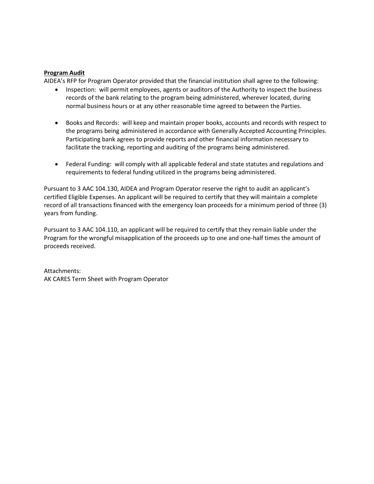#### **Program Audit**

AIDEA's RFP for Program Operator provided that the financial institution shall agree to the following:

- Inspection: will permit employees, agents or auditors of the Authority to inspect the business records of the bank relating to the program being administered, wherever located, during normal business hours or at any other reasonable time agreed to between the Parties.
- Books and Records: will keep and maintain proper books, accounts and records with respect to the programs being administered in accordance with Generally Accepted Accounting Principles. Participating bank agrees to provide reports and other financial information necessary to facilitate the tracking, reporting and auditing of the programs being administered.
- Federal Funding: will comply with all applicable federal and state statutes and regulations and requirements to federal funding utilized in the programs being administered.

Pursuant to 3 AAC 104.130, AIDEA and Program Operator reserve the right to audit an applicant's certified Eligible Expenses. An applicant will be required to certify that they will maintain a complete record of all transactions financed with the emergency loan proceeds for a minimum period of three (3) years from funding.

Pursuant to 3 AAC 104.110, an applicant will be required to certify that they remain liable under the Program for the wrongful misapplication of the proceeds up to one and one-half times the amount of proceeds received.

Attachments: AK CARES Term Sheet with Program Operator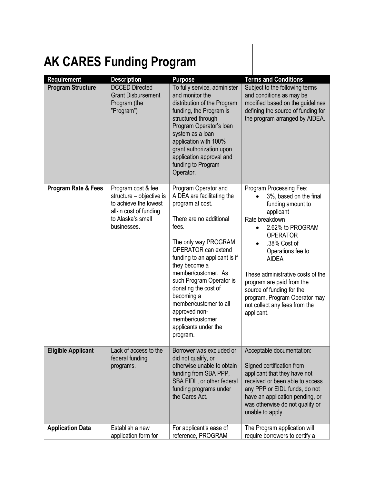# **AK CARES Funding Program**

| Requirement               | <b>Description</b>                                                                                                                    | <b>Purpose</b>                                                                                                                                                                                                                                                                                                                                                                                         | <b>Terms and Conditions</b>                                                                                                                                                                                                                                                                                                                                                      |
|---------------------------|---------------------------------------------------------------------------------------------------------------------------------------|--------------------------------------------------------------------------------------------------------------------------------------------------------------------------------------------------------------------------------------------------------------------------------------------------------------------------------------------------------------------------------------------------------|----------------------------------------------------------------------------------------------------------------------------------------------------------------------------------------------------------------------------------------------------------------------------------------------------------------------------------------------------------------------------------|
| <b>Program Structure</b>  | <b>DCCED Directed</b><br><b>Grant Disbursement</b><br>Program (the<br>"Program")                                                      | To fully service, administer<br>and monitor the<br>distribution of the Program<br>funding, the Program is<br>structured through<br>Program Operator's loan<br>system as a loan<br>application with 100%<br>grant authorization upon<br>application approval and<br>funding to Program<br>Operator.                                                                                                     | Subject to the following terms<br>and conditions as may be<br>modified based on the guidelines<br>defining the source of funding for<br>the program arranged by AIDEA.                                                                                                                                                                                                           |
| Program Rate & Fees       | Program cost & fee<br>structure - objective is<br>to achieve the lowest<br>all-in cost of funding<br>to Alaska's small<br>businesses. | Program Operator and<br>AIDEA are facilitating the<br>program at cost.<br>There are no additional<br>fees.<br>The only way PROGRAM<br>OPERATOR can extend<br>funding to an applicant is if<br>they become a<br>member/customer. As<br>such Program Operator is<br>donating the cost of<br>becoming a<br>member/customer to all<br>approved non-<br>member/customer<br>applicants under the<br>program. | Program Processing Fee:<br>3%, based on the final<br>funding amount to<br>applicant<br>Rate breakdown<br>2.62% to PROGRAM<br><b>OPERATOR</b><br>.38% Cost of<br>Operations fee to<br><b>AIDEA</b><br>These administrative costs of the<br>program are paid from the<br>source of funding for the<br>program. Program Operator may<br>not collect any fees from the<br>applicant. |
| <b>Eligible Applicant</b> | Lack of access to the<br>federal funding<br>programs.                                                                                 | Borrower was excluded or<br>did not qualify, or<br>otherwise unable to obtain<br>funding from SBA PPP,<br>SBA EIDL, or other federal<br>funding programs under<br>the Cares Act.                                                                                                                                                                                                                       | Acceptable documentation:<br>Signed certification from<br>applicant that they have not<br>received or been able to access<br>any PPP or EIDL funds, do not<br>have an application pending, or<br>was otherwise do not qualify or<br>unable to apply.                                                                                                                             |
| <b>Application Data</b>   | Establish a new<br>application form for                                                                                               | For applicant's ease of<br>reference, PROGRAM                                                                                                                                                                                                                                                                                                                                                          | The Program application will<br>require borrowers to certify a                                                                                                                                                                                                                                                                                                                   |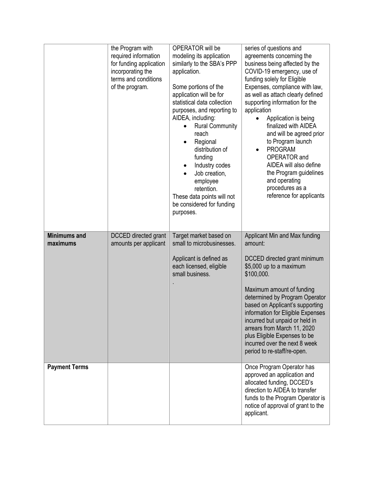|                                 | the Program with<br>required information<br>for funding application<br>incorporating the<br>terms and conditions<br>of the program. | OPERATOR will be<br>modeling its application<br>similarly to the SBA's PPP<br>application.<br>Some portions of the<br>application will be for<br>statistical data collection<br>purposes, and reporting to<br>AIDEA, including:<br><b>Rural Community</b><br>reach<br>Regional<br>distribution of<br>funding<br>Industry codes<br>Job creation,<br>employee<br>retention.<br>These data points will not<br>be considered for funding<br>purposes. | series of questions and<br>agreements concerning the<br>business being affected by the<br>COVID-19 emergency, use of<br>funding solely for Eligible<br>Expenses, compliance with law,<br>as well as attach clearly defined<br>supporting information for the<br>application<br>Application is being<br>finalized with AIDEA<br>and will be agreed prior<br>to Program launch<br><b>PROGRAM</b><br>OPERATOR and<br>AIDEA will also define<br>the Program guidelines<br>and operating<br>procedures as a<br>reference for applicants |
|---------------------------------|-------------------------------------------------------------------------------------------------------------------------------------|---------------------------------------------------------------------------------------------------------------------------------------------------------------------------------------------------------------------------------------------------------------------------------------------------------------------------------------------------------------------------------------------------------------------------------------------------|------------------------------------------------------------------------------------------------------------------------------------------------------------------------------------------------------------------------------------------------------------------------------------------------------------------------------------------------------------------------------------------------------------------------------------------------------------------------------------------------------------------------------------|
| <b>Minimums and</b><br>maximums | <b>DCCED</b> directed grant<br>amounts per applicant                                                                                | Target market based on<br>small to microbusinesses.<br>Applicant is defined as<br>each licensed, eligible<br>small business.                                                                                                                                                                                                                                                                                                                      | Applicant Min and Max funding<br>amount:<br>DCCED directed grant minimum<br>\$5,000 up to a maximum<br>\$100,000.<br>Maximum amount of funding<br>determined by Program Operator<br>based on Applicant's supporting<br>information for Eligible Expenses<br>incurred but unpaid or held in<br>arrears from March 11, 2020<br>plus Eligible Expenses to be<br>incurred over the next 8 week<br>period to re-staff/re-open.                                                                                                          |
| <b>Payment Terms</b>            |                                                                                                                                     |                                                                                                                                                                                                                                                                                                                                                                                                                                                   | Once Program Operator has<br>approved an application and<br>allocated funding, DCCED's<br>direction to AIDEA to transfer<br>funds to the Program Operator is<br>notice of approval of grant to the<br>applicant.                                                                                                                                                                                                                                                                                                                   |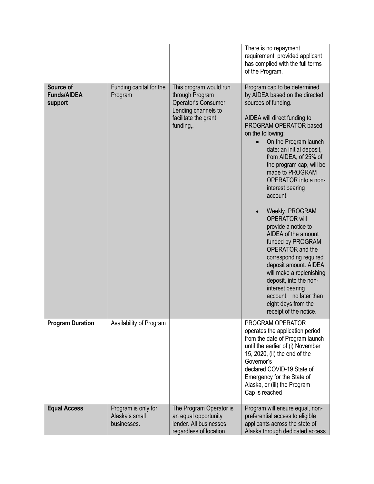|                                            |                                                      |                                                                                                                              | There is no repayment<br>requirement, provided applicant<br>has complied with the full terms<br>of the Program.                                                                                                                                                                                                                                                                                                                                                                                                                                                                                                                                                                                      |
|--------------------------------------------|------------------------------------------------------|------------------------------------------------------------------------------------------------------------------------------|------------------------------------------------------------------------------------------------------------------------------------------------------------------------------------------------------------------------------------------------------------------------------------------------------------------------------------------------------------------------------------------------------------------------------------------------------------------------------------------------------------------------------------------------------------------------------------------------------------------------------------------------------------------------------------------------------|
| Source of<br><b>Funds/AIDEA</b><br>support | Funding capital for the<br>Program                   | This program would run<br>through Program<br>Operator's Consumer<br>Lending channels to<br>facilitate the grant<br>funding,. | Program cap to be determined<br>by AIDEA based on the directed<br>sources of funding.<br>AIDEA will direct funding to<br>PROGRAM OPERATOR based<br>on the following:<br>On the Program launch<br>date: an initial deposit,<br>from AIDEA, of 25% of<br>the program cap, will be<br>made to PROGRAM<br>OPERATOR into a non-<br>interest bearing<br>account.<br>Weekly, PROGRAM<br><b>OPERATOR will</b><br>provide a notice to<br>AIDEA of the amount<br>funded by PROGRAM<br>OPERATOR and the<br>corresponding required<br>deposit amount. AIDEA<br>will make a replenishing<br>deposit, into the non-<br>interest bearing<br>account, no later than<br>eight days from the<br>receipt of the notice. |
| <b>Program Duration</b>                    | Availability of Program                              |                                                                                                                              | PROGRAM OPERATOR<br>operates the application period<br>from the date of Program launch<br>until the earlier of (i) November<br>15, 2020, (ii) the end of the<br>Governor's<br>declared COVID-19 State of<br>Emergency for the State of<br>Alaska, or (iii) the Program<br>Cap is reached                                                                                                                                                                                                                                                                                                                                                                                                             |
| <b>Equal Access</b>                        | Program is only for<br>Alaska's small<br>businesses. | The Program Operator is<br>an equal opportunity<br>lender. All businesses<br>regardless of location                          | Program will ensure equal, non-<br>preferential access to eligible<br>applicants across the state of<br>Alaska through dedicated access                                                                                                                                                                                                                                                                                                                                                                                                                                                                                                                                                              |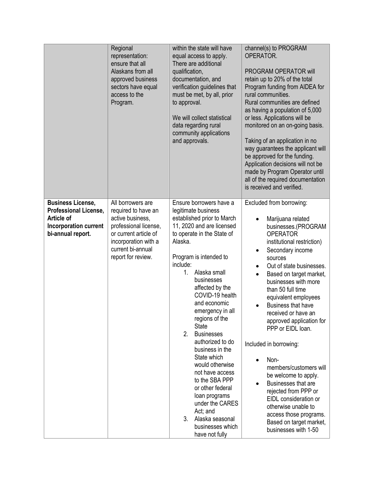|                                                                                                                             | Regional<br>representation:<br>ensure that all<br>Alaskans from all<br>approved business<br>sectors have equal<br>access to the<br>Program.                                       | within the state will have<br>equal access to apply.<br>There are additional<br>qualification,<br>documentation, and<br>verification guidelines that<br>must be met, by all, prior<br>to approval.<br>We will collect statistical<br>data regarding rural<br>community applications<br>and approvals.                                                                                                                                                                                                                                                                                                                | channel(s) to PROGRAM<br>OPERATOR.<br>PROGRAM OPERATOR will<br>retain up to 20% of the total<br>Program funding from AIDEA for<br>rural communities.<br>Rural communities are defined<br>as having a population of 5,000<br>or less. Applications will be<br>monitored on an on-going basis.<br>Taking of an application in no<br>way guarantees the applicant will<br>be approved for the funding.<br>Application decisions will not be<br>made by Program Operator until<br>all of the required documentation<br>is received and verified.                                                                                                                                                 |
|-----------------------------------------------------------------------------------------------------------------------------|-----------------------------------------------------------------------------------------------------------------------------------------------------------------------------------|----------------------------------------------------------------------------------------------------------------------------------------------------------------------------------------------------------------------------------------------------------------------------------------------------------------------------------------------------------------------------------------------------------------------------------------------------------------------------------------------------------------------------------------------------------------------------------------------------------------------|----------------------------------------------------------------------------------------------------------------------------------------------------------------------------------------------------------------------------------------------------------------------------------------------------------------------------------------------------------------------------------------------------------------------------------------------------------------------------------------------------------------------------------------------------------------------------------------------------------------------------------------------------------------------------------------------|
| <b>Business License,</b><br><b>Professional License,</b><br><b>Article of</b><br>Incorporation current<br>bi-annual report. | All borrowers are<br>required to have an<br>active business,<br>professional license,<br>or current article of<br>incorporation with a<br>current bi-annual<br>report for review. | Ensure borrowers have a<br>legitimate business<br>established prior to March<br>11, 2020 and are licensed<br>to operate in the State of<br>Alaska.<br>Program is intended to<br>include:<br>Alaska small<br>1.<br>businesses<br>affected by the<br>COVID-19 health<br>and economic<br>emergency in all<br>regions of the<br><b>State</b><br>2.<br><b>Businesses</b><br>authorized to do<br>business in the<br>State which<br>would otherwise<br>not have access<br>to the SBA PPP<br>or other federal<br>loan programs<br>under the CARES<br>Act; and<br>3.<br>Alaska seasonal<br>businesses which<br>have not fully | Excluded from borrowing:<br>Marijuana related<br>businesses.(PROGRAM<br><b>OPERATOR</b><br>institutional restriction)<br>Secondary income<br>$\bullet$<br>sources<br>Out of state businesses.<br>$\bullet$<br>Based on target market,<br>$\bullet$<br>businesses with more<br>than 50 full time<br>equivalent employees<br><b>Business that have</b><br>received or have an<br>approved application for<br>PPP or EIDL loan.<br>Included in borrowing:<br>Non-<br>members/customers will<br>be welcome to apply.<br>Businesses that are<br>rejected from PPP or<br>EIDL consideration or<br>otherwise unable to<br>access those programs.<br>Based on target market,<br>businesses with 1-50 |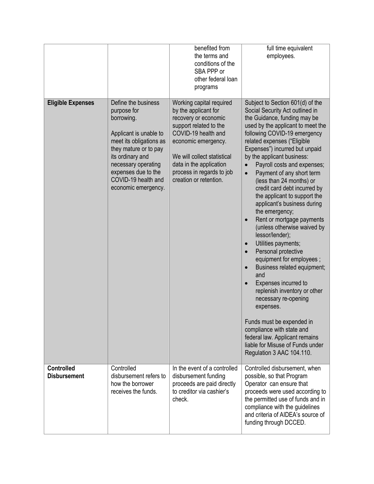|                                          |                                                                                                                                                                                                                                                | benefited from<br>the terms and<br>conditions of the<br>SBA PPP or<br>other federal loan<br>programs                                                                                                                                                              | full time equivalent<br>employees.                                                                                                                                                                                                                                                                                                                                                                                                                                                                                                                                                                                                                                                                                                                                                                                                                                                                                                                                                                                      |
|------------------------------------------|------------------------------------------------------------------------------------------------------------------------------------------------------------------------------------------------------------------------------------------------|-------------------------------------------------------------------------------------------------------------------------------------------------------------------------------------------------------------------------------------------------------------------|-------------------------------------------------------------------------------------------------------------------------------------------------------------------------------------------------------------------------------------------------------------------------------------------------------------------------------------------------------------------------------------------------------------------------------------------------------------------------------------------------------------------------------------------------------------------------------------------------------------------------------------------------------------------------------------------------------------------------------------------------------------------------------------------------------------------------------------------------------------------------------------------------------------------------------------------------------------------------------------------------------------------------|
| <b>Eligible Expenses</b>                 | Define the business<br>purpose for<br>borrowing.<br>Applicant is unable to<br>meet its obligations as<br>they mature or to pay<br>its ordinary and<br>necessary operating<br>expenses due to the<br>COVID-19 health and<br>economic emergency. | Working capital required<br>by the applicant for<br>recovery or economic<br>support related to the<br>COVID-19 health and<br>economic emergency.<br>We will collect statistical<br>data in the application<br>process in regards to job<br>creation or retention. | Subject to Section 601(d) of the<br>Social Security Act outlined in<br>the Guidance, funding may be<br>used by the applicant to meet the<br>following COVID-19 emergency<br>related expenses ("Eligible<br>Expenses") incurred but unpaid<br>by the applicant business:<br>Payroll costs and expenses;<br>Payment of any short term<br>$\bullet$<br>(less than 24 months) or<br>credit card debt incurred by<br>the applicant to support the<br>applicant's business during<br>the emergency;<br>Rent or mortgage payments<br>$\bullet$<br>(unless otherwise waived by<br>lessor/lender);<br>Utilities payments;<br>$\bullet$<br>Personal protective<br>$\bullet$<br>equipment for employees;<br>Business related equipment;<br>$\bullet$<br>and<br>Expenses incurred to<br>$\bullet$<br>replenish inventory or other<br>necessary re-opening<br>expenses.<br>Funds must be expended in<br>compliance with state and<br>federal law. Applicant remains<br>liable for Misuse of Funds under<br>Regulation 3 AAC 104.110. |
| <b>Controlled</b><br><b>Disbursement</b> | Controlled<br>disbursement refers to<br>how the borrower<br>receives the funds.                                                                                                                                                                | In the event of a controlled<br>disbursement funding<br>proceeds are paid directly<br>to creditor via cashier's<br>check.                                                                                                                                         | Controlled disbursement, when<br>possible, so that Program<br>Operator can ensure that<br>proceeds were used according to<br>the permitted use of funds and in<br>compliance with the guidelines<br>and criteria of AIDEA's source of<br>funding through DCCED.                                                                                                                                                                                                                                                                                                                                                                                                                                                                                                                                                                                                                                                                                                                                                         |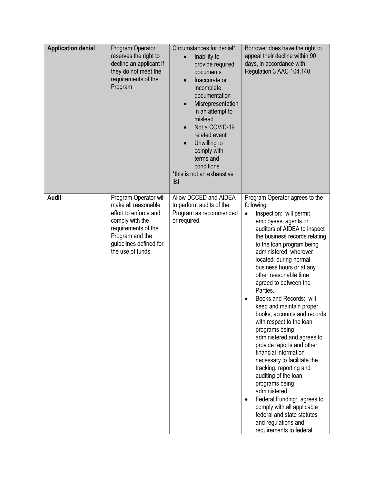| <b>Application denial</b> | Program Operator<br>reserves the right to<br>decline an applicant if<br>they do not meet the<br>requirements of the<br>Program                                                    | Circumstances for denial*<br>Inability to<br>$\bullet$<br>provide required<br>documents<br>Inaccurate or<br>incomplete<br>documentation<br>Misrepresentation<br>in an attempt to<br>mislead<br>Not a COVID-19<br>related event<br>Unwilling to<br>comply with<br>terms and<br>conditions<br>*this is not an exhaustive<br>list | Borrower does have the right to<br>appeal their decline within 90<br>days, in accordance with<br>Regulation 3 AAC 104.140.                                                                                                                                                                                                                                                                                                                                                                                                                                                                                                                                                                                                                                                                                                                        |
|---------------------------|-----------------------------------------------------------------------------------------------------------------------------------------------------------------------------------|--------------------------------------------------------------------------------------------------------------------------------------------------------------------------------------------------------------------------------------------------------------------------------------------------------------------------------|---------------------------------------------------------------------------------------------------------------------------------------------------------------------------------------------------------------------------------------------------------------------------------------------------------------------------------------------------------------------------------------------------------------------------------------------------------------------------------------------------------------------------------------------------------------------------------------------------------------------------------------------------------------------------------------------------------------------------------------------------------------------------------------------------------------------------------------------------|
| <b>Audit</b>              | Program Operator will<br>make all reasonable<br>effort to enforce and<br>comply with the<br>requirements of the<br>Program and the<br>guidelines defined for<br>the use of funds. | Allow DCCED and AIDEA<br>to perform audits of the<br>Program as recommended<br>or required.                                                                                                                                                                                                                                    | Program Operator agrees to the<br>following:<br>Inspection: will permit<br>$\bullet$<br>employees, agents or<br>auditors of AIDEA to inspect<br>the business records relating<br>to the loan program being<br>administered, wherever<br>located, during normal<br>business hours or at any<br>other reasonable time<br>agreed to between the<br>Parties.<br>Books and Records: will<br>keep and maintain proper<br>books, accounts and records<br>with respect to the loan<br>programs being<br>administered and agrees to<br>provide reports and other<br>financial information<br>necessary to facilitate the<br>tracking, reporting and<br>auditing of the loan<br>programs being<br>administered.<br>Federal Funding: agrees to<br>comply with all applicable<br>federal and state statutes<br>and regulations and<br>requirements to federal |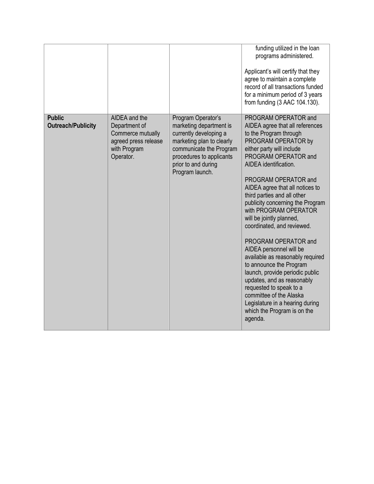|                                            |                                                                                                          |                                                                                                                                                                                                       | funding utilized in the loan<br>programs administered.<br>Applicant's will certify that they<br>agree to maintain a complete<br>record of all transactions funded<br>for a minimum period of 3 years<br>from funding (3 AAC 104.130).                                                                                                                                                                                                                                                                                                                                                                                                                                                                                         |
|--------------------------------------------|----------------------------------------------------------------------------------------------------------|-------------------------------------------------------------------------------------------------------------------------------------------------------------------------------------------------------|-------------------------------------------------------------------------------------------------------------------------------------------------------------------------------------------------------------------------------------------------------------------------------------------------------------------------------------------------------------------------------------------------------------------------------------------------------------------------------------------------------------------------------------------------------------------------------------------------------------------------------------------------------------------------------------------------------------------------------|
| <b>Public</b><br><b>Outreach/Publicity</b> | AIDEA and the<br>Department of<br>Commerce mutually<br>agreed press release<br>with Program<br>Operator. | Program Operator's<br>marketing department is<br>currently developing a<br>marketing plan to clearly<br>communicate the Program<br>procedures to applicants<br>prior to and during<br>Program launch. | PROGRAM OPERATOR and<br>AIDEA agree that all references<br>to the Program through<br>PROGRAM OPERATOR by<br>either party will include<br>PROGRAM OPERATOR and<br>AIDEA identification.<br>PROGRAM OPERATOR and<br>AIDEA agree that all notices to<br>third parties and all other<br>publicity concerning the Program<br>with PROGRAM OPERATOR<br>will be jointly planned,<br>coordinated, and reviewed.<br>PROGRAM OPERATOR and<br>AIDEA personnel will be<br>available as reasonably required<br>to announce the Program<br>launch, provide periodic public<br>updates, and as reasonably<br>requested to speak to a<br>committee of the Alaska<br>Legislature in a hearing during<br>which the Program is on the<br>agenda. |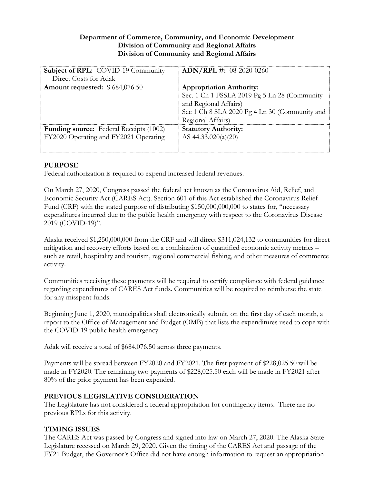## **Department of Commerce, Community, and Economic Development Division of Community and Regional Affairs Division of Community and Regional Affairs**

| <b>Subject of RPL:</b> COVID-19 Community<br>Direct Costs for Adak                      | $ADN/RPL \#: 08-2020-0260$                                                                                                                                                     |
|-----------------------------------------------------------------------------------------|--------------------------------------------------------------------------------------------------------------------------------------------------------------------------------|
| Amount requested: $$684,076.50$                                                         | <b>Appropriation Authority:</b><br>Sec. 1 Ch 1 FSSLA 2019 Pg 5 Ln 28 (Community<br>and Regional Affairs)<br>Sec 1 Ch 8 SLA 2020 Pg 4 Ln 30 (Community and<br>Regional Affairs) |
| <b>Funding source:</b> Federal Receipts (1002)<br>FY2020 Operating and FY2021 Operating | <b>Statutory Authority:</b><br>AS $44.33.020(a)(20)$                                                                                                                           |

# **PURPOSE**

Federal authorization is required to expend increased federal revenues.

On March 27, 2020, Congress passed the federal act known as the Coronavirus Aid, Relief, and Economic Security Act (CARES Act). Section 601 of this Act established the Coronavirus Relief Fund (CRF) with the stated purpose of distributing \$150,000,000,000 to states for, "necessary expenditures incurred due to the public health emergency with respect to the Coronavirus Disease 2019 (COVID-19)".

Alaska received \$1,250,000,000 from the CRF and will direct \$311,024,132 to communities for direct mitigation and recovery efforts based on a combination of quantified economic activity metrics – such as retail, hospitality and tourism, regional commercial fishing, and other measures of commerce activity.

Communities receiving these payments will be required to certify compliance with federal guidance regarding expenditures of CARES Act funds. Communities will be required to reimburse the state for any misspent funds.

Beginning June 1, 2020, municipalities shall electronically submit, on the first day of each month, a report to the Office of Management and Budget (OMB) that lists the expenditures used to cope with the COVID-19 public health emergency.

Adak will receive a total of \$684,076.50 across three payments.

Payments will be spread between FY2020 and FY2021. The first payment of \$228,025.50 will be made in FY2020. The remaining two payments of \$228,025.50 each will be made in FY2021 after 80% of the prior payment has been expended.

## **PREVIOUS LEGISLATIVE CONSIDERATION**

The Legislature has not considered a federal appropriation for contingency items. There are no previous RPLs for this activity.

# **TIMING ISSUES**

The CARES Act was passed by Congress and signed into law on March 27, 2020. The Alaska State Legislature recessed on March 29, 2020. Given the timing of the CARES Act and passage of the FY21 Budget, the Governor's Office did not have enough information to request an appropriation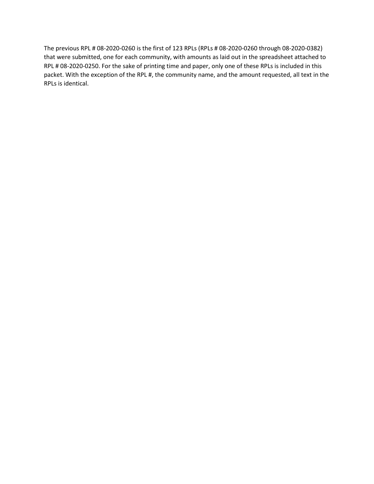The previous RPL # 08-2020-0260 is the first of 123 RPLs (RPLs # 08-2020-0260 through 08-2020-0382) that were submitted, one for each community, with amounts as laid out in the spreadsheet attached to RPL # 08-2020-0250. For the sake of printing time and paper, only one of these RPLs is included in this packet. With the exception of the RPL #, the community name, and the amount requested, all text in the RPLs is identical.